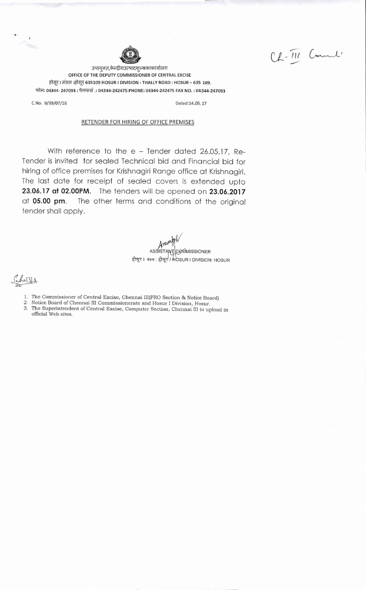Ch-III Counts

उपायुक्त,केन्द्रीयउत्पादशुल्ककाकार्यालय OFFICE OF THE DEPUTY COMMISSIONER OF CENTRAL EXCISE होसूर। मंडल :होसूर 635109 HOSUR I DIVISION : THALLY ROAD : HOSUR - 635 109. फोन: 04344- 247093 : फेक्ससं .: 04344-242475:PHONE: 04344-242475 FAX NO. : 04344-247093

G.No, 11/39/07/16 Dated:14.06.17

#### RETENDER FOR HIRING OF OFFICE PREMISES

With reference to the e - Tender dated 26.05.17, Re-Tender is invited for sealed Technical bid and Financial bid for hiring of office premises for Krishnagiri Range office at Krishnagiri. The last date for receipt of sealed covers is extended upto 23.06.17 at 02.00PM. The tenders will be opened on 23.06.2017 at 05.00 pm. The other terms and conditions of the original tender shall apply.

> ASSISTANT COMMISSIONER ASSISTAN | GAMMISSIONER<br>होसूर । मंडल : होसूर / HOSUR I DIVISION: HOSUR

Sihops

1. The Commissioner of Central Excise, Chennai III(PRO Section & Notice Board)

- 2. Notice Board of Chennai III Commissionerate and Hosur I Division, Hosur.
- 3. The Superintendent of Central Excise, Computer Section, Chennai III to upload in official Web sites.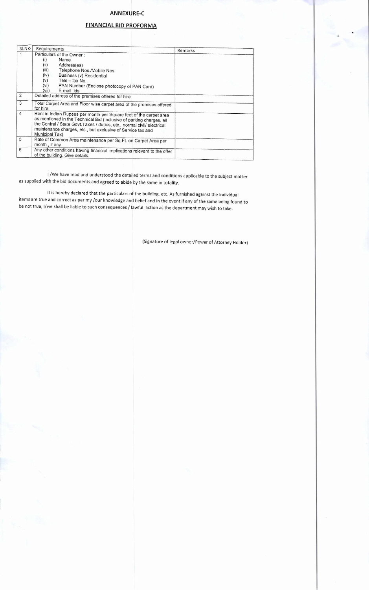## ANNEXURE-C

# FINANCIAL BID PROFORMA

| S <sub>1</sub> NO | Requirements                                                                                                                                                                                                                                                                                            | Remarks |
|-------------------|---------------------------------------------------------------------------------------------------------------------------------------------------------------------------------------------------------------------------------------------------------------------------------------------------------|---------|
|                   | Particulars of the Owner:<br>Name<br>(i)<br>(ii)<br>Address(es)<br>(iii)<br>Telephone Nos./Mobile Nos.<br>(iv)<br>Business (v) Residential<br>Tele $-$ fax No.<br>(v)<br>(vi)<br>PAN Number (Enclose photocopy of PAN Card)<br>(vii)<br>E-mail ids                                                      |         |
| 2                 | Detailed address of the premises offered for hire                                                                                                                                                                                                                                                       |         |
| 3                 | Total Carpet Area and Floor wise carpet area of the premises offered<br>for hire                                                                                                                                                                                                                        |         |
| $\overline{4}$    | Rent in Indian Rupees per month per Square feet of the carpet area<br>as mentioned in the Technical Bid (inclusive of parking charges, all<br>the Central / State Govt. Taxes / duties, etc., normal civil/ electrical<br>maintenance charges, etc., but exclusive of Service tax and<br>Municipal Tax) |         |
| 5                 | Rate of Common Area maintenance per Sq.Ft. on Carpet Area per<br>month, if any                                                                                                                                                                                                                          |         |
| 6                 | Any other conditions having financial implications relevant to the offer<br>of the building. Give details.                                                                                                                                                                                              |         |

I /We have read and understood the detailed terms and conditions applicable to the subject matter as supplied with the bid documents and agreed to abide by the same in totality.

It is hereby declared that the particulars of the building, etc. As furnished against the individual items are true and correct as per my /our knowledge and belief and in the event if any of the same being found to be not true, I/we shall be liable to such consequences / lawful action as the department may wish to take.

(Signature of legal owner/Power of Attorney Holder)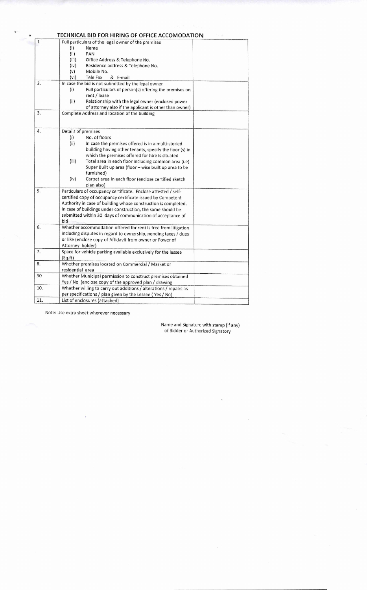|              | TECHNICAL BID FOR HIRING OF OFFICE ACCOMODATION                   |
|--------------|-------------------------------------------------------------------|
| $\mathbf{1}$ | Full particulars of the legal owner of the premises               |
|              | (i)<br>Name                                                       |
|              | (iii)<br>PAN                                                      |
|              | (iii)<br>Office Address & Telephone No.                           |
|              | (iv)<br>Residence address & Telephone No.                         |
|              | (v)<br>Mobile No.                                                 |
|              | (vi)<br>Tele Fax<br>& E-mail                                      |
| 2.           | In case the bid is not submitted by the legal owner               |
|              | (i)<br>Full particulars of person(s) offering the premises on     |
|              | rent / lease                                                      |
|              | (ii)<br>Relationship with the legal owner (enclosed power         |
|              | of attorney also if the applicant is other than owner)            |
| 3.           | Complete Address and location of the building                     |
|              |                                                                   |
|              |                                                                   |
| 4.           | Details of premises                                               |
|              | No. of floors<br>(i)                                              |
|              | (ii)<br>In case the premises offered is in a multi-storied        |
|              | building having other tenants, specify the floor (s) in           |
|              | which the premises offered for hire is situated                   |
|              | (iii)<br>Total area in each floor including common area (i.e)     |
|              | Super Built up area (floor - wise built up area to be             |
|              | furnished)                                                        |
|              | (iv)<br>Carpet area in each floor (enclose certified sketch       |
|              | plan also)                                                        |
| 5.           | Particulars of occupancy certificate. Enclose attested / self-    |
|              | certified copy of occupancy certificate issued by Competent       |
|              | Authority in case of building whose construction is completed.    |
|              | In case of buildings under construction, the same should be       |
|              | submitted within 30 days of communication of acceptance of        |
|              | bid                                                               |
| 6.           | Whether accommodation offered for rent is free from litigation    |
|              | including disputes in regard to ownership, pending taxes / dues   |
|              | or like (enclose copy of Affidavit from owner or Power of         |
|              | Attorney holder)                                                  |
| 7.           | Space for vehicle parking available exclusively for the lessee    |
|              | (Sq.ft)                                                           |
| 8.           | Whether premises located on Commercial / Market or                |
|              | residential area                                                  |
| 90           | Whether Municipal permission to construct premises obtained       |
|              | Yes / No (enclose copy of the approved plan / drawing             |
| 10.          | Whether willing to carry out additions / alterations / repairs as |
|              | per specifications / plan given by the Lessee (Yes / No)          |
| 11.          | List of enclosures (attached)                                     |

Note: Use extra sheet wherever necessary

Name and Signature with stamp (if any) of Bidder or Authorized Signatory

 $\bar{z}$